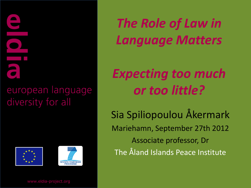#### european language diversity for all





*The Role of Law in Language Matters*

# *Expecting too much or too little?*

Sia Spiliopoulou Åkermark Mariehamn, September 27th 2012 Associate professor, Dr The Åland Islands Peace Institute

www.eldia-project.org www.eldia-project.org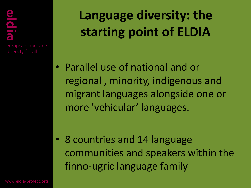$\begin{array}{|c|} \hline \hline \hline \hline \hline \hline \hline \hline \end{array}$ european language **Language diversity: the starting point of ELDIA**

• Parallel use of national and or regional , minority, indigenous and migrant languages alongside one or more 'vehicular' languages.

• 8 countries and 14 language communities and speakers within the finno-ugric language family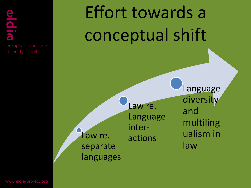european language

# Effort towards a conceptual shift

Law re. separate languages Law re. Language interactions

Language diversity and multiling ualism in law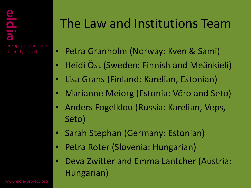# The Law and Institutions Team

- Petra Granholm (Norway: Kven & Sami)
- Heidi Öst (Sweden: Finnish and Meänkieli)
- Lisa Grans (Finland: Karelian, Estonian)
- Marianne Meiorg (Estonia: Võro and Seto)
- Anders Fogelklou (Russia: Karelian, Veps, Seto)
- Sarah Stephan (Germany: Estonian)
- Petra Roter (Slovenia: Hungarian)
- Deva Zwitter and Emma Lantcher (Austria: Hungarian)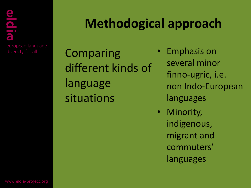# **Methodogical approach**

Comparing different kinds of language situations

- Emphasis on several minor finno-ugric, i.e. non Indo-European languages
- Minority, indigenous, migrant and commuters' languages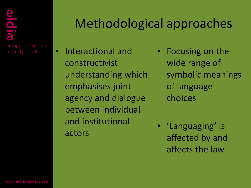# Methodological approaches

- Interactional and constructivist understanding which emphasises joint agency and dialogue between individual and institutional actors
- Focusing on the wide range of symbolic meanings of language choices
- 'Languaging' is affected by and affects the law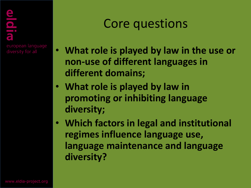### Core questions

- **What role is played by law in the use or non-use of different languages in different domains;**
- **What role is played by law in promoting or inhibiting language diversity;**
- **Which factors in legal and institutional regimes influence language use, language maintenance and language diversity?**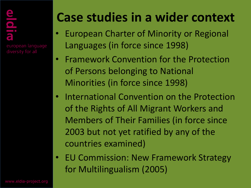# **Case studies in a wider context**

- European Charter of Minority or Regional Languages (in force since 1998)
- Framework Convention for the Protection of Persons belonging to National Minorities (in force since 1998)
- International Convention on the Protection of the Rights of All Migrant Workers and Members of Their Families (in force since 2003 but not yet ratified by any of the countries examined)
- EU Commission: New Framework Strategy for Multilingualism (2005)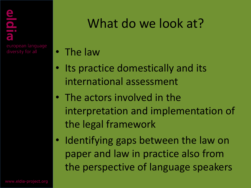# What do we look at?

- The law
- Its practice domestically and its international assessment
- The actors involved in the interpretation and implementation of the legal framework
- Identifying gaps between the law on paper and law in practice also from the perspective of language speakers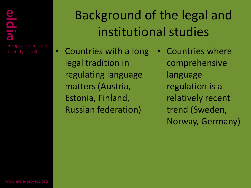# Background of the legal and institutional studies

- Countries with a long legal tradition in regulating language matters (Austria, Estonia, Finland, Russian federation)
- Countries where comprehensive language regulation is a relatively recent trend (Sweden, Norway, Germany)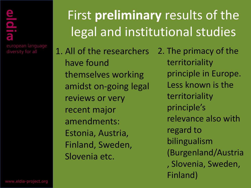european language diversity for all

# First **preliminary** results of the legal and institutional studies

1. All of the researchers have found themselves working amidst on-going legal reviews or very recent major amendments: Estonia, Austria, Finland, Sweden, Slovenia etc.

2. The primacy of the territoriality principle in Europe. Less known is the territoriality principle's relevance also with regard to bilingualism (Burgenland/Austria , Slovenia, Sweden, Finland)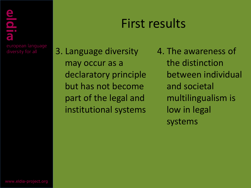# First results

3. Language diversity may occur as a declaratory principle but has not become part of the legal and institutional systems

4. The awareness of the distinction between individual and societal multilingualism is low in legal systems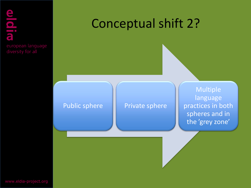# $\frac{1}{2}$ european language

# Conceptual shift 2?

#### Public sphere **Private sphere**

Multiple language practices in both spheres and in the 'grey zone'

www.eldia-project.org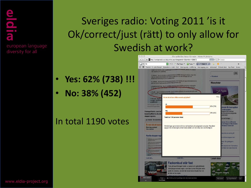# $\begin{array}{|c|} \hline \hline \hline \hline \end{array}$ european language

### Sveriges radio: Voting 2011 'is it Ok/correct/just (rätt) to only allow for Swedish at work?

- **Yes: 62% (738) !!!**
- **No: 38% (452)**

#### In total 1190 votes

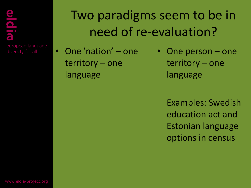# Two paradigms seem to be in need of re-evaluation?

• One 'nation' – one territory – one language

• One person – one territory – one language

Examples: Swedish education act and Estonian language options in census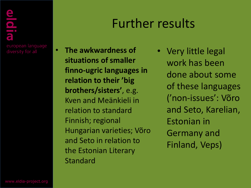# Further results

- **The awkwardness of situations of smaller finno-ugric languages in relation to their 'big brothers/sisters'**, e.g. Kven and Meänkieli in relation to standard Finnish; regional Hungarian varieties; Võro and Seto in relation to the Estonian Literary Standard
- Very little legal work has been done about some of these languages ('non-issues': Võro and Seto, Karelian, Estonian in Germany and Finland, Veps)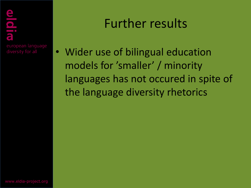## Further results

• Wider use of bilingual education models for 'smaller' / minority languages has not occured in spite of the language diversity rhetorics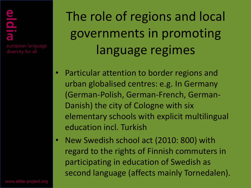# european language

The role of regions and local governments in promoting language regimes

- Particular attention to border regions and urban globalised centres: e.g. In Germany (German-Polish, German-French, German-Danish) the city of Cologne with six elementary schools with explicit multilingual education incl. Turkish
- New Swedish school act (2010: 800) with regard to the rights of Finnish commuters in participating in education of Swedish as second language (affects mainly Tornedalen).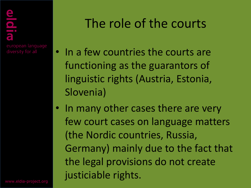# The role of the courts

- In a few countries the courts are functioning as the guarantors of linguistic rights (Austria, Estonia, Slovenia)
- In many other cases there are very few court cases on language matters (the Nordic countries, Russia, Germany) mainly due to the fact that the legal provisions do not create justiciable rights.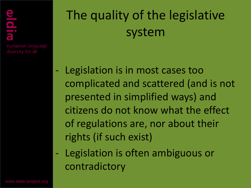# The quality of the legislative system

- Legislation is in most cases too complicated and scattered (and is not presented in simplified ways) and citizens do not know what the effect of regulations are, nor about their rights (if such exist)
- Legislation is often ambiguous or contradictory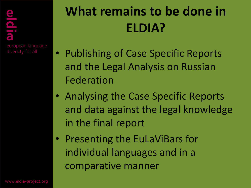# **What remains to be done in ELDIA?**

- Publishing of Case Specific Reports and the Legal Analysis on Russian Federation
- Analysing the Case Specific Reports and data against the legal knowledge in the final report
- Presenting the EuLaViBars for individual languages and in a comparative manner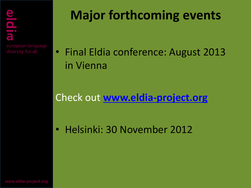# **Major forthcoming events**

• Final Eldia conference: August 2013 in Vienna

Check out **[www.eldia-project.org](http://www.eldia-project.org/)**

• Helsinki: 30 November 2012